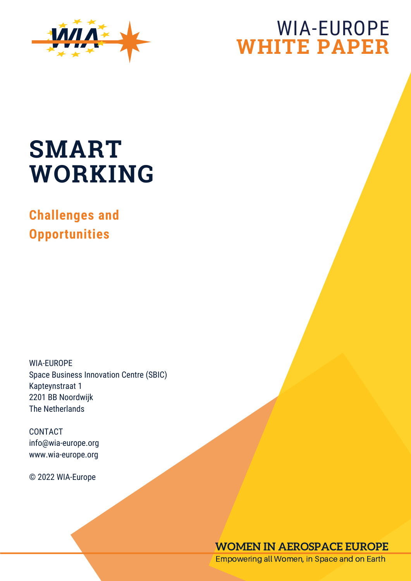

# WIA-EUROPE **WHITE PAPER**

# **SMART WORKING**

**Challenges and Opportunities**

WIA-EUROPE Space Business Innovation Centre (SBIC) Kapteynstraat 1 2201 BB Noordwijk The Netherlands

CONTACT info@wia-europe.org www.wia-europe.org

© 2022 WIA-Europe

# **WOMEN IN AEROSPACE EUROPE**

Empowering all Women, in Space and on Earth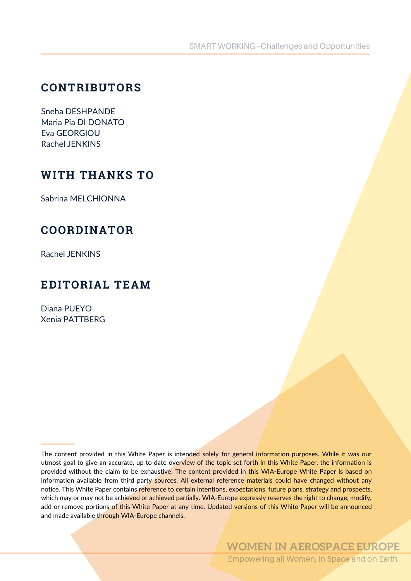# **CONTRIBUTORS**

Sneha DESHPANDE Maria Pia DI DONATO Eva GEORGIOU Rachel JENKINS

# **WITH THANKS TO**

Sabrina MELCHIONNA

# **COORDINATOR**

Rachel JENKINS

# **EDITORIAL TEAM**

Diana PUEYO Xenia PATTBERG

The content provided in this White Paper is intended solely for general information purposes. While it was our utmost goal to give an accurate, up to date overview of the topic set forth in this White Paper, the information is provided without the claim to be exhaustive. The content provided in this WIA-Europe White Paper is based on information available from third party sources. All external reference materials could have changed without any notice. This White Paper contains reference to certain intentions, expectations, future plans, strategy and prospects, which may or may not be achieved or achieved partially. WIA-Europe expressly reserves the right to change, modify, add or remove portions of this White Paper at any time. Updated versions of this White Paper will be announced and made available through WIA-Europe channels.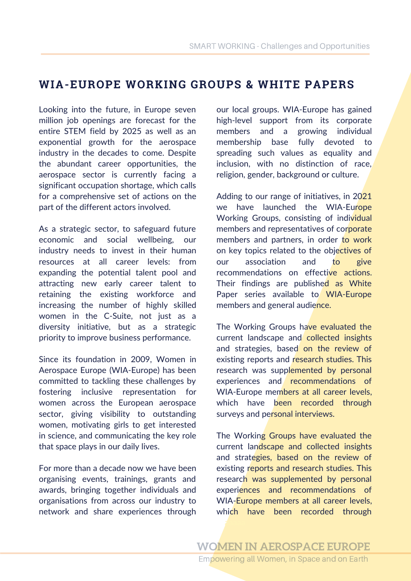# **WIA-EUROPE WORKING GROUPS & WHITE PAPERS**

Looking into the future, in Europe seven million job openings are forecast for the entire STEM field by 2025 as well as an exponential growth for the aerospace industry in the decades to come. Despite the abundant career opportunities, the aerospace sector is currently facing a significant occupation shortage, which calls for a comprehensive set of actions on the part of the different actors involved.

As a strategic sector, to safeguard future economic and social wellbeing, our industry needs to invest in their human resources at all career levels: from expanding the potential talent pool and attracting new early career talent to retaining the existing workforce and increasing the number of highly skilled women in the C-Suite, not just as a diversity initiative, but as a strategic priority to improve business performance.

Since its foundation in 2009, Women in Aerospace Europe (WIA-Europe) has been committed to tackling these challenges by fostering inclusive representation for women across the European aerospace sector, giving visibility to outstanding women, motivating girls to get interested in science, and communicating the key role that space plays in our daily lives.

For more than a decade now we have been organising events, trainings, grants and awards, bringing together individuals and organisations from across our industry to network and share experiences through our local groups. WIA-Europe has gained high-level support from its corporate members and a growing individual membership base fully devoted to spreading such values as equality and inclusion, with no distinction of race, religion, gender, background or culture.

Adding to our range of initiatives, in 2021 we have launched the WIA-Europe Working Groups, consisting of individual members and representatives of corporate members and partners, in order to work on key topics related to the objectives of our association and to give recommendations on effective actions. Their findings are published as White Paper series available to WIA-Europe members and general audience.

The Working Groups have evaluated the current landscape and collected insights and strategies, based on the review of existing reports and research studies. This research was supplemented by personal experiences and recommendations of WIA-Europe members at all career levels, which have been recorded through surveys and personal interviews.

The Working Groups have evaluated the current landscape and collected insights and strategies, based on the review of existing reports and research studies. This research was supplemented by personal experiences and recommendations of WIA-Europe members at all career levels, which have been recorded through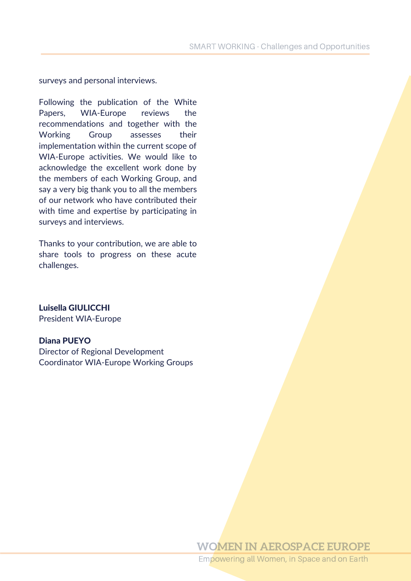surveys and personal interviews.

Following the publication of the White Papers, WIA-Europe reviews the recommendations and together with the Working Group assesses their implementation within the current scope of WIA-Europe activities. We would like to acknowledge the excellent work done by the members of each Working Group, and say a very big thank you to all the members of our network who have contributed their with time and expertise by participating in surveys and interviews.

Thanks to your contribution, we are able to share tools to progress on these acute challenges.

Luisella GIULICCHI President WIA-Europe

#### Diana PUEYO

Director of Regional Development Coordinator WIA-Europe Working Groups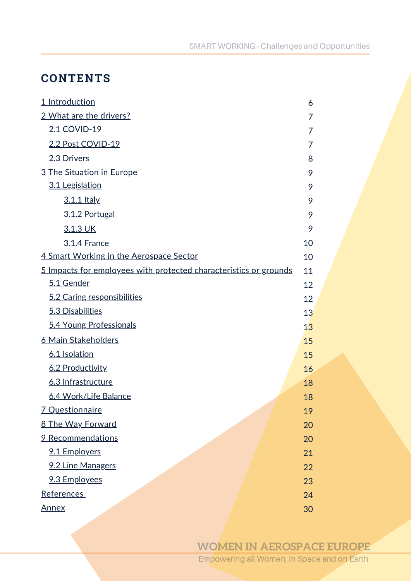# **CONTENTS**

| 1 Introduction                                                    | 6  |
|-------------------------------------------------------------------|----|
| 2 What are the drivers?                                           | 7  |
| 2.1 COVID-19                                                      | 7  |
| 2.2 Post COVID-19                                                 | 7  |
| 2.3 Drivers                                                       | 8  |
| 3 The Situation in Europe                                         | 9  |
| 3.1 Legislation                                                   | 9  |
| 3.1.1 Italy                                                       | 9  |
| 3.1.2 Portugal                                                    | 9  |
| 3.1.3 UK                                                          | 9  |
| 3.1.4 France                                                      | 10 |
| 4 Smart Working in the Aerospace Sector                           | 10 |
| 5 Impacts for employees with protected characteristics or grounds | 11 |
| 5.1 Gender                                                        | 12 |
| 5.2 Caring responsibilities                                       | 12 |
| 5.3 Disabilities                                                  | 13 |
| 5.4 Young Professionals                                           | 13 |
| 6 Main Stakeholders                                               | 15 |
| 6.1 Isolation                                                     | 15 |
| 6.2 Productivity                                                  | 16 |
| 6.3 Infrastructure                                                | 18 |
| 6.4 Work/Life Balance                                             | 18 |
| <u>7 Questionnaire</u>                                            | 19 |
| 8 The Way Forward                                                 | 20 |
| <b>9 Recommendations</b>                                          | 20 |
| 9.1 Employers                                                     | 21 |
| 9.2 Line Managers                                                 | 22 |
| 9.3 Employees                                                     | 23 |
| References                                                        | 24 |
| <u>Annex</u>                                                      | 30 |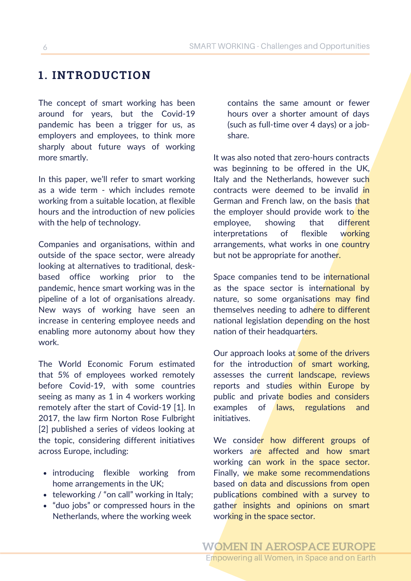# **1. INTRODUCTION**

The concept of smart working has been around for years, but the Covid-19 pandemic has been a trigger for us, as employers and employees, to think more sharply about future ways of working more smartly.

In this paper, we'll refer to smart working as a wide term - which includes remote working from a suitable location, at flexible hours and the introduction of new policies with the help of technology.

Companies and organisations, within and outside of the space sector, were already looking at alternatives to traditional, deskbased office working prior to the pandemic, hence smart working was in the pipeline of a lot of organisations already. New ways of working have seen an increase in centering employee needs and enabling more autonomy about how they work.

The World Economic Forum estimated that 5% of employees worked remotely before Covid-19, with some countries seeing as many as 1 in 4 workers working remotely after the start of Covid-19 [1]. In 2017, the law firm Norton Rose Fulbright [2] published a series of videos looking at the topic, considering different initiatives across Europe, including:

- introducing flexible working from home arrangements in the UK;
- teleworking / "on call" working in Italy;
- "duo jobs" or compressed hours in the Netherlands, where the working week

contains the same amount or fewer hours over a shorter amount of days (such as full-time over 4 days) or a jobshare.

It was also noted that zero-hours contracts was beginning to be offered in the UK, Italy and the Netherlands, however such contracts were deemed to be invalid in German and French law, on the basis that the employer should provide work to the employee, showing that different interpretations of flexible working arrangements, what works in one country but not be appropriate for another.

Space companies tend to be international as the space sector is international by nature, so some organisations may find themselves needing to adhere to different national legislation depending on the host nation of their headquarters.

Our approach looks at some of the drivers for the introduction of smart working, assesses the current landscape, reviews reports and studies within Europe by public and private bodies and considers examples of laws, regulations and initiatives.

We consider how different groups of workers are affected and how smart working can work in the space sector. Finally, we make some recommendations based on data and discussions from open publications combined with a survey to gather insights and opinions on smart working in the space sector.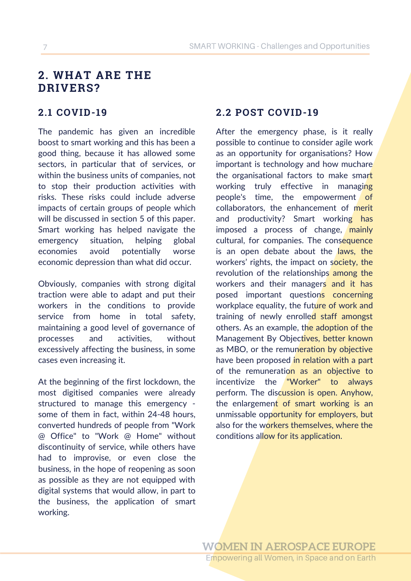# **2. WHAT ARE THE DRIVERS?**

The pandemic has given an incredible boost to smart working and this has been a good thing, because it has allowed some sectors, in particular that of services, or within the business units of companies, not to stop their production activities with risks. These risks could include adverse impacts of certain groups of people which will be discussed in section 5 of this paper. Smart working has helped navigate the emergency situation, helping global economies avoid potentially worse economic depression than what did occur.

Obviously, companies with strong digital traction were able to adapt and put their workers in the conditions to provide service from home in total safety, maintaining a good level of governance of processes and activities, without excessively affecting the business, in some cases even increasing it.

At the beginning of the first lockdown, the most digitised companies were already structured to manage this emergency some of them in fact, within 24-48 hours, converted hundreds of people from "Work @ Office" to "Work @ Home" without discontinuity of service, while others have had to improvise, or even close the business, in the hope of reopening as soon as possible as they are not equipped with digital systems that would allow, in part to the business, the application of smart working.

# **2.1 COVID-19 2.2 POST COVID-19**

After the emergency phase, is it really possible to continue to consider agile work as an opportunity for organisations? How important is technology and how muchare the organisational factors to make smart working truly effective in managing people's time, the empowerment of collaborators, the enhancement of merit and productivity? Smart working has imposed a process of change, mainly cultural, for companies. The consequence is an open debate about the laws, the workers' rights, the impact on society, the revolution of the relationships among the workers and their managers and it has posed important questions concerning workplace equality, the future of work and training of newly enrolled staff amongst others. As an example, the adoption of the Management By Objectives, better known as MBO, or the remuneration by objective have been proposed in relation with a part of the remuneration as an objective to incentivize the "Worker" to always perform. The discussion is open. Anyhow, the enlargement of smart working is an unmissable opportunity for employers, but also for the workers themselves, where the conditions allow for its application.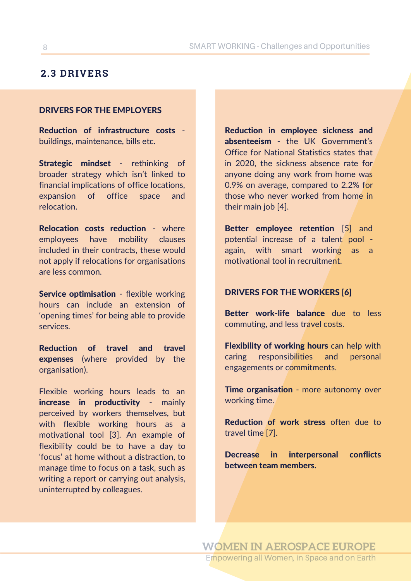# **2.3 DRIVERS**

#### DRIVERS FOR THE EMPLOYERS

Reduction of infrastructure costs buildings, maintenance, bills etc.

Strategic mindset - rethinking of broader strategy which isn't linked to financial implications of office locations, expansion of office space and relocation.

Relocation costs reduction - where employees have mobility clauses included in their contracts, these would not apply if relocations for organisations are less common.

Service optimisation - flexible working hours can include an extension of 'opening times' for being able to provide services.

Reduction of travel and travel expenses (where provided by the organisation).

Flexible working hours leads to an increase in productivity - mainly perceived by workers themselves, but with flexible working hours as a motivational tool [3]. An example of flexibility could be to have a day to 'focus' at home without a distraction, to manage time to focus on a task, such as writing a report or carrying out analysis, uninterrupted by colleagues.

Reduction in employee sickness and absenteeism - the UK Government's Office for National Statistics states that in 2020, the sickness absence rate for anyone doing any work from home was 0.9% on average, compared to 2.2% for those who never worked from home in their main job [4].

Better employee retention [5] and potential increase of a talent pool again, with smart working as a motivational tool in recruitment.

#### DRIVERS FOR THE WORKERS [6]

Better work-life balance due to less commuting, and less travel costs.

Flexibility of working hours can help with caring responsibilities and personal engagements or commitments.

Time organisation - more autonomy over working time.

Reduction of work stress often due to travel time [7].

Decrease in interpersonal conflicts between team members.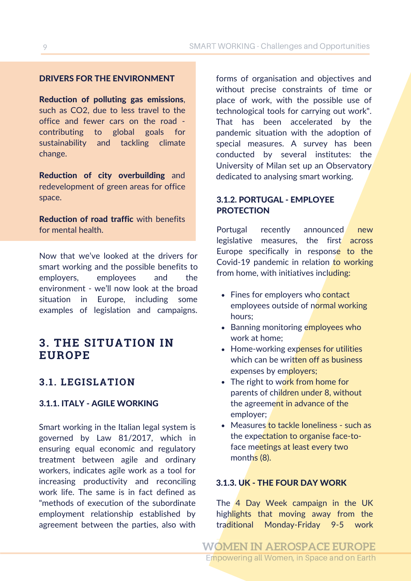#### DRIVERS FOR THE ENVIRONMENT

Reduction of polluting gas emissions, such as CO2, due to less travel to the office and fewer cars on the road contributing to global goals for sustainability and tackling climate change.

Reduction of city overbuilding and redevelopment of green areas for office space.

Reduction of road traffic with benefits for mental health.

Now that we've looked at the drivers for smart working and the possible benefits to employers, employees and the environment - we'll now look at the broad situation in Europe, including some examples of legislation and campaigns.

# **3. THE SITUATION IN EUROPE**

## **3.1. LEGISLATION**

#### 3.1.1. ITALY - AGILE WORKING

Smart working in the Italian legal system is governed by Law 81/2017, which in ensuring equal economic and regulatory treatment between agile and ordinary workers, indicates agile work as a tool for increasing productivity and reconciling work life. The same is in fact defined as "methods of execution of the subordinate employment relationship established by agreement between the parties, also with forms of organisation and objectives and without precise constraints of time or place of work, with the possible use of technological tools for carrying out work". That has been accelerated by the pandemic situation with the adoption of special measures. A survey has been conducted by several institutes: the University of Milan set up an Observatory dedicated to analysing smart working.

#### 3.1.2. PORTUGAL - EMPLOYEE PROTECTION

Portugal recently announced new legislative measures, the first across Europe specifically in response to the Covid-19 pandemic in relation to working from home, with initiatives including:

- Fines for employers who contact employees outside of normal working hours;
- Banning monitoring employees who work at home;
- Home-working expenses for utilities which can be written off as business expenses by employers;
- The right to work from home for parents of children under 8, without the agreement in advance of the employer;
- Measures to tackle loneliness such as the expectation to organise face-toface meetings at least every two months (8).

#### 3.1.3. UK - THE FOUR DAY WORK

The 4 Day Week campaign in the UK highlights that moving away from the traditional Monday-Friday 9-5 work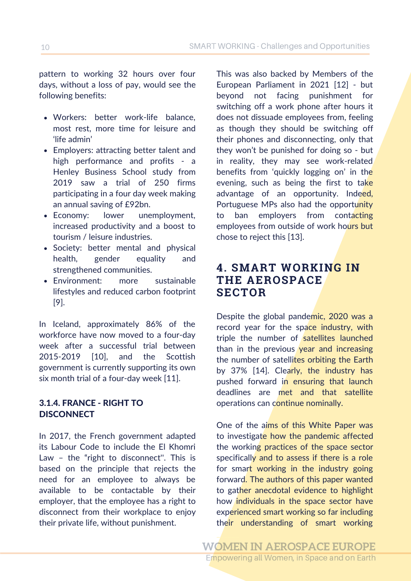pattern to working 32 hours over four days, without a loss of pay, would see the following benefits:

- Workers: better work-life balance, most rest, more time for leisure and 'life admin'
- Employers: attracting better talent and high performance and profits - a Henley Business School study from 2019 saw a trial of 250 firms participating in a four day week making an annual saving of £92bn.
- Economy: lower unemployment, increased productivity and a boost to tourism / leisure industries.
- Society: better mental and physical health, gender equality and strengthened communities.
- Environment: more sustainable lifestyles and reduced carbon footprint [9].

In Iceland, approximately 86% of the workforce have now moved to a four-day week after a successful trial between 2015-2019 [10], and the Scottish government is currently supporting its own six month trial of a four-day week [11].

### 3.1.4. FRANCE - RIGHT TO **DISCONNECT**

In 2017, the French government adapted its Labour Code to include the El Khomri Law – the "right to disconnect''. This is based on the principle that rejects the need for an employee to always be available to be contactable by their employer, that the employee has a right to disconnect from their workplace to enjoy their private life, without punishment.

This was also backed by Members of the European Parliament in 2021 [12] - but beyond not facing punishment for switching off a work phone after hours it does not dissuade employees from, feeling as though they should be switching off their phones and disconnecting, only that they won't be punished for doing so - but in reality, they may see work-related benefits from 'quickly logging on' in the evening, such as being the first to take advantage of an opportunity. Indeed, Portuguese MPs also had the opportunity to ban employers from contacting employees from outside of work hours but chose to reject this [13].

# **4. SMART WORKING IN THE AEROSPACE SECTOR**

Despite the global pandemic, 2020 was a record year for the space industry, with triple the number of satellites launched than in the previous year and increasing the number of satellites orbiting the Earth by 37% [14]. Clearly, the industry has pushed forward in ensuring that launch deadlines are met and that satellite operations can continue nominally.

One of the aims of this White Paper was to investigate how the pandemic affected the working practices of the space sector specifically and to assess if there is a role for smart working in the industry going forward. The authors of this paper wanted to gather anecdotal evidence to highlight how individuals in the space sector have experienced smart working so far including their understanding of smart working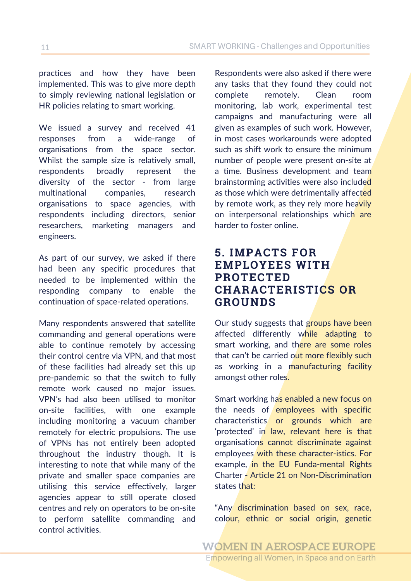practices and how they have been implemented. This was to give more depth to simply reviewing national legislation or HR policies relating to smart working.

We issued a survey and received 41 responses from a wide-range of organisations from the space sector. Whilst the sample size is relatively small, respondents broadly represent the diversity of the sector - from large multinational companies, research organisations to space agencies, with respondents including directors, senior researchers, marketing managers and engineers.

As part of our survey, we asked if there had been any specific procedures that needed to be implemented within the responding company to enable the continuation of space-related operations.

Many respondents answered that satellite commanding and general operations were able to continue remotely by accessing their control centre via VPN, and that most of these facilities had already set this up pre-pandemic so that the switch to fully remote work caused no major issues. VPN's had also been utilised to monitor on-site facilities, with one example including monitoring a vacuum chamber remotely for electric propulsions. The use of VPNs has not entirely been adopted throughout the industry though. It is interesting to note that while many of the private and smaller space companies are utilising this service effectively, larger agencies appear to still operate closed centres and rely on operators to be on-site to perform satellite commanding and control activities.

Respondents were also asked if there were any tasks that they found they could not complete remotely. Clean room monitoring, lab work, experimental test campaigns and manufacturing were all given as examples of such work. However, in most cases workarounds were adopted such as shift work to ensure the minimum number of people were present on-site at a time. Business development and team brainstorming activities were also included as those which were detrimentally affected by remote work, as they rely more heavily on interpersonal relationships which are harder to foster online.

# **5. IMPACTS FOR EMPLOYEES WITH PROTECTED CHARACTERISTICS OR GROUNDS**

Our study suggests that groups have been affected differently while adapting to smart working, and there are some roles that can't be carried out more flexibly such as working in a manufacturing facility amongst other roles.

Smart working has enabled a new focus on the needs of employees with specific characteristics or grounds which are 'protected' in law, relevant here is that organisations cannot discriminate against employees with these character-istics. For example, in the EU Funda-mental Rights Charter - Article 21 on Non-Discrimination states that:

"Any discrimination based on sex, race, colour, ethnic or social origin, genetic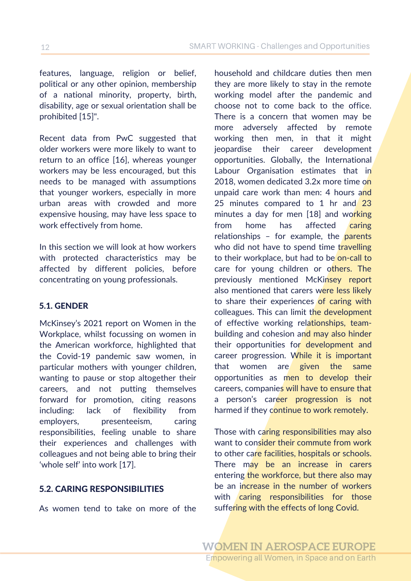\_\_\_\_\_\_\_ features, language, religion or belief, political or any other opinion, membership of a national minority, property, birth, disability, age or sexual orientation shall be prohibited [15]".

Recent data from PwC suggested that older workers were more likely to want to return to an office [16], whereas younger workers may be less encouraged, but this needs to be managed with assumptions that younger workers, especially in more urban areas with crowded and more expensive housing, may have less space to work effectively from home.

In this section we will look at how workers with protected characteristics may be affected by different policies, before concentrating on young professionals.

#### 5.1. GENDER

McKinsey's 2021 report on Women in the Workplace, whilst focussing on women in the American workforce, highlighted that the Covid-19 pandemic saw women, in particular mothers with younger children, wanting to pause or stop altogether their careers, and not putting themselves forward for promotion, citing reasons including: lack of flexibility from employers, presenteeism, caring responsibilities, feeling unable to share their experiences and challenges with colleagues and not being able to bring their 'whole self' into work [17].

#### 5.2. CARING RESPONSIBILITIES

As women tend to take on more of the

household and childcare duties then men they are more likely to stay in the remote working model after the pandemic and choose not to come back to the office. There is a concern that women may be more adversely affected by remote working then men, in that it might jeopardise their career development opportunities. Globally, the International Labour Organisation estimates that in 2018, women dedicated 3.2x more time on unpaid care work than men: 4 hours and 25 minutes compared to 1 hr and 23 minutes a day for men [18] and working from home has affected caring relationships – for example, the parents who did not have to spend time travelling to their workplace, but had to be on-call to care for young children or others. The previously mentioned McKinsey report also mentioned that carers were less likely to share their experiences of caring with colleagues. This can limit the development of effective working relationships, teambuilding and cohesion and may also hinder their opportunities for development and career progression. While it is important that women are given the same opportunities as men to develop their careers, companies will have to ensure that a person's career progression is not harmed if they continue to work remotely.

Those with caring responsibilities may also want to consider their commute from work to other care facilities, hospitals or schools. There may be an increase in carers entering the workforce, but there also may be an increase in the number of workers with caring responsibilities for those suffering with the effects of long Covid.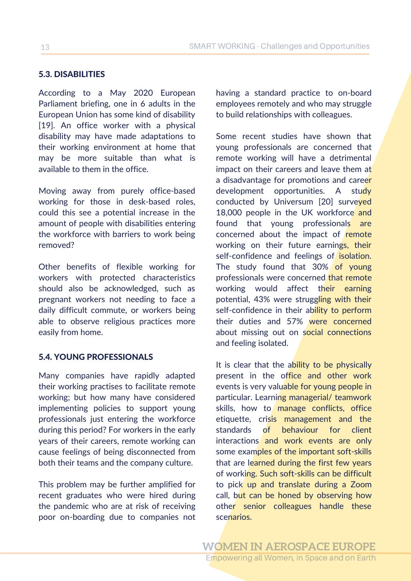## 5.3. DISABILITIES

According to a May 2020 European Parliament briefing, one in 6 adults in the European Union has some kind of disability [19]. An office worker with a physical disability may have made adaptations to their working environment at home that may be more suitable than what is available to them in the office.

Moving away from purely office-based working for those in desk-based roles, could this see a potential increase in the amount of people with disabilities entering the workforce with barriers to work being removed?

Other benefits of flexible working for workers with protected characteristics should also be acknowledged, such as pregnant workers not needing to face a daily difficult commute, or workers being able to observe religious practices more easily from home.

#### 5.4. YOUNG PROFESSIONALS

Many companies have rapidly adapted their working practises to facilitate remote working; but how many have considered implementing policies to support young professionals just entering the workforce during this period? For workers in the early years of their careers, remote working can cause feelings of being disconnected from both their teams and the company culture.

This problem may be further amplified for recent graduates who were hired during the pandemic who are at risk of receiving poor on-boarding due to companies not having a standard practice to on-board employees remotely and who may struggle to build relationships with colleagues.

Some recent studies have shown that young professionals are concerned that remote working will have a detrimental impact on their careers and leave them at a disadvantage for promotions and career development opportunities. A study conducted by Universum [20] surveyed 18,000 people in the UK workforce and found that young professionals are concerned about the impact of remote working on their future earnings, their self-confidence and feelings of isolation. The study found that 30% of young professionals were concerned that remote working would affect their earning potential, 43% were struggling with their self-confidence in their ability to perform their duties and 57% were concerned about missing out on social connections and feeling isolated.

It is clear that the ability to be physically present in the office and other work events is very valuable for young people in particular. Learning managerial/ teamwork skills, how to manage conflicts, office etiquette, crisis management and the standards of behaviour for client interactions and work events are only some examples of the important soft-skills that are learned during the first few years of working. Such soft-skills can be difficult to pick up and translate during a Zoom call, but can be honed by observing how other senior colleagues handle these scenarios.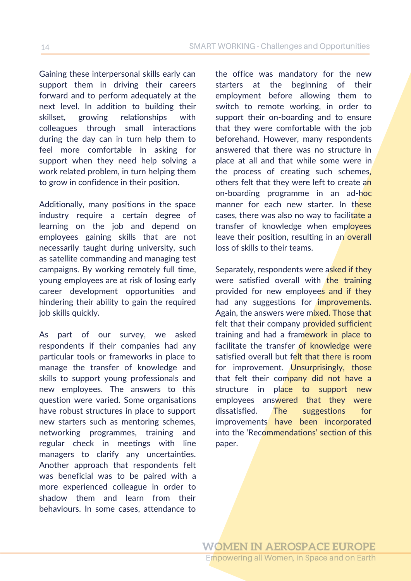Gaining these interpersonal skills early can support them in driving their careers forward and to perform adequately at the next level. In addition to building their skillset, growing relationships with colleagues through small interactions during the day can in turn help them to feel more comfortable in asking for support when they need help solving a work related problem, in turn helping them to grow in confidence in their position.

Additionally, many positions in the space industry require a certain degree of learning on the job and depend on employees gaining skills that are not necessarily taught during university, such as satellite commanding and managing test campaigns. By working remotely full time, young employees are at risk of losing early career development opportunities and hindering their ability to gain the required job skills quickly.

As part of our survey, we asked respondents if their companies had any particular tools or frameworks in place to manage the transfer of knowledge and skills to support young professionals and new employees. The answers to this question were varied. Some organisations have robust structures in place to support new starters such as mentoring schemes, networking programmes, training and regular check in meetings with line managers to clarify any uncertainties. Another approach that respondents felt was beneficial was to be paired with a more experienced colleague in order to shadow them and learn from their behaviours. In some cases, attendance to

the office was mandatory for the new starters at the beginning of their employment before allowing them to switch to remote working, in order to support their on-boarding and to ensure that they were comfortable with the job beforehand. However, many respondents answered that there was no structure in place at all and that while some were in the process of creating such schemes, others felt that they were left to create an on-boarding programme in an ad-hoc manner for each new starter. In these cases, there was also no way to facilitate a transfer of knowledge when employees leave their position, resulting in an overall loss of skills to their teams.

Separately, respondents were asked if they were satisfied overall with the training provided for new employees and if they had any suggestions for *improvements*. Again, the answers were mixed. Those that felt that their company provided sufficient training and had a framework in place to facilitate the transfer of knowledge were satisfied overall but felt that there is room for improvement. Unsurprisingly, those that felt their company did not have a structure in place to support new employees answered that they were dissatisfied. The suggestions for improvements have been incorporated into the 'Recommendations' section of this paper.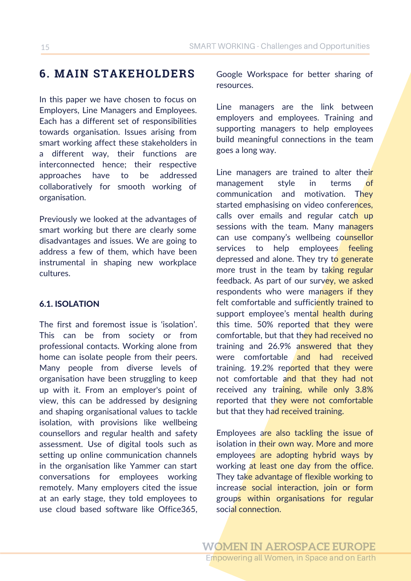# **6. MAIN STAKEHOLDERS**

In this paper we have chosen to focus on Employers, Line Managers and Employees. Each has a different set of responsibilities towards organisation. Issues arising from smart working affect these stakeholders in a different way, their functions are interconnected hence; their respective approaches have to be addressed collaboratively for smooth working of organisation.

Previously we looked at the advantages of smart working but there are clearly some disadvantages and issues. We are going to address a few of them, which have been instrumental in shaping new workplace cultures.

### 6.1. ISOLATION

The first and foremost issue is 'isolation'. This can be from society or from professional contacts. Working alone from home can isolate people from their peers. Many people from diverse levels of organisation have been struggling to keep up with it. From an employer's point of view, this can be addressed by designing and shaping organisational values to tackle isolation, with provisions like wellbeing counsellors and regular health and safety assessment. Use of digital tools such as setting up online communication channels in the organisation like Yammer can start conversations for employees working remotely. Many employers cited the issue at an early stage, they told employees to use cloud based software like Office365,

Google Workspace for better sharing of resources.

Line managers are the link between employers and employees. Training and supporting managers to help employees build meaningful connections in the team goes a long way.

Line managers are trained to alter their management style in terms of communication and motivation. They started emphasising on video conferences, calls over emails and regular catch up sessions with the team. Many managers can use company's wellbeing counsellor services to help employees feeling depressed and alone. They try to generate more trust in the team by taking regular feedback. As part of our survey, we asked respondents who were managers if they felt comfortable and sufficiently trained to support employee's mental health during this time. 50% reported that they were comfortable, but that they had received no training and 26.9% answered that they were comfortable and had received training. 19.2% reported that they were not comfortable and that they had not received any training, while only 3.8% reported that they were not comfortable but that they had received training.

Employees are also tackling the issue of isolation in their own way. More and more employees are adopting hybrid ways by working at least one day from the office. They take advantage of flexible working to increase social interaction, join or form groups within organisations for regular social connection.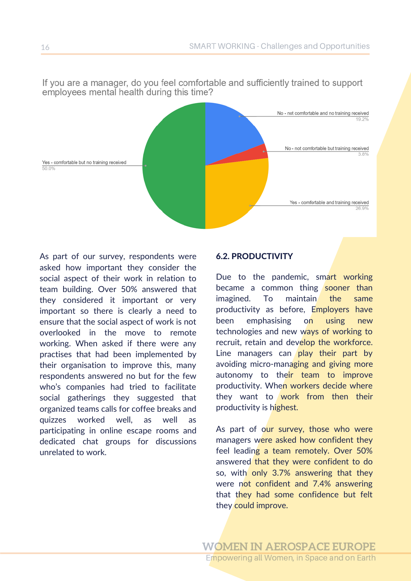No - not comfortable and no training received 19.2% No - not comfortable but training received 3.8% Yes - comfortable but no training received Yes - comfortable and training received 26.9%

If you are a manager, do you feel comfortable and sufficiently trained to support employees mental health during this time?

As part of our survey, respondents were asked how important they consider the social aspect of their work in relation to team building. Over 50% answered that they considered it important or very important so there is clearly a need to ensure that the social aspect of work is not overlooked in the move to remote working. When asked if there were any practises that had been implemented by their organisation to improve this, many respondents answered no but for the few who's companies had tried to facilitate social gatherings they suggested that organized teams calls for coffee breaks and quizzes worked well, as well as participating in online escape rooms and dedicated chat groups for discussions unrelated to work.

#### 6.2. PRODUCTIVITY

Due to the pandemic, smart working became a common thing sooner than imagined. To maintain the same productivity as before, Employers have been emphasising on using new technologies and new ways of working to recruit, retain and develop the workforce. Line managers can  $\overline{play}$  their part by avoiding micro-managing and giving more autonomy to their team to improve productivity. When workers decide where they want to work from then their productivity is highest.

As part of our survey, those who were managers were asked how confident they feel leading a team remotely. Over 50% answered that they were confident to do so, with only 3.7% answering that they were not confident and 7.4% answering that they had some confidence but felt they could improve.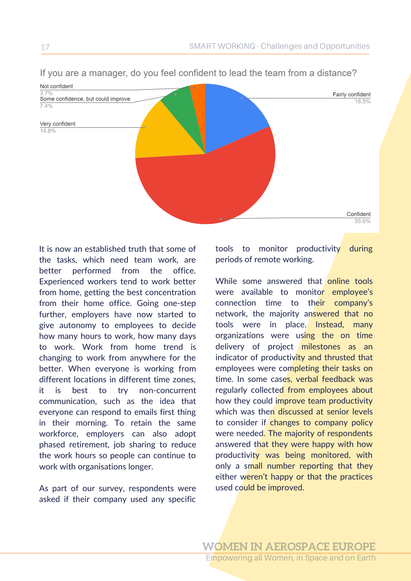

#### If you are a manager, do you feel confident to lead the team from a distance?

It is now an established truth that some of the tasks, which need team work, are better performed from the office. Experienced workers tend to work better from home, getting the best concentration from their home office. Going one-step further, employers have now started to give autonomy to employees to decide how many hours to work, how many days to work. Work from home trend is changing to work from anywhere for the better. When everyone is working from different locations in different time zones, it is best to try non-concurrent communication, such as the idea that everyone can respond to emails first thing in their morning. To retain the same workforce, employers can also adopt phased retirement, job sharing to reduce the work hours so people can continue to work with organisations longer.

As part of our survey, respondents were asked if their company used any specific tools to monitor productivity during periods of remote working.

While some answered that online tools were available to monitor employee's connection time to their company's network, the majority answered that no tools were in place. Instead, many organizations were using the on time delivery of project milestones as an indicator of productivity and thrusted that employees were completing their tasks on time. In some cases, verbal feedback was regularly collected from employees about how they could improve team productivity which was then discussed at senior levels to consider if changes to company policy were needed. The majority of respondents answered that they were happy with how productivity was being monitored, with only a small number reporting that they either weren't happy or that the practices used could be improved.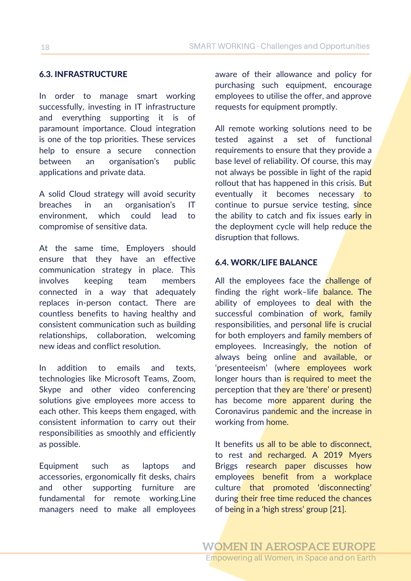#### 6.3. INFRASTRUCTURE

In order to manage smart working successfully, investing in IT infrastructure and everything supporting it is of paramount importance. Cloud integration is one of the top priorities. These services help to ensure a secure connection between an organisation's public applications and private data.

A solid Cloud strategy will avoid security breaches in an organisation's IT environment, which could lead to compromise of sensitive data.

At the same time, Employers should ensure that they have an effective communication strategy in place. This involves keeping team members connected in a way that adequately replaces in-person contact. There are countless benefits to having healthy and consistent communication such as building relationships, collaboration, welcoming new ideas and conflict resolution.

In addition to emails and texts, technologies like Microsoft Teams, Zoom, Skype and other video conferencing solutions give employees more access to each other. This keeps them engaged, with consistent information to carry out their responsibilities as smoothly and efficiently as possible.

Equipment such as laptops and accessories, ergonomically fit desks, chairs and other supporting furniture are fundamental for remote working.Line managers need to make all employees

aware of their allowance and policy for purchasing such equipment, encourage employees to utilise the offer, and approve requests for equipment promptly.

All remote working solutions need to be tested against a set of functional requirements to ensure that they provide a base level of reliability. Of course, this may not always be possible in light of the rapid rollout that has happened in this crisis. But eventually it becomes necessary to continue to pursue service testing, since the ability to catch and fix issues early in the deployment cycle will help reduce the disruption that follows.

#### 6.4. WORK/LIFE BALANCE

All the employees face the challenge of finding the right work-life balance. The ability of employees to deal with the successful combination of work, family responsibilities, and personal life is crucial for both employers and family members of employees. Increasingly, the notion of always being online and available, or 'presenteeism' (where employees work longer hours than is required to meet the perception that they are 'there' or present) has become more apparent during the Coronavirus pandemic and the increase in working from home.

It benefits us all to be able to disconnect, to rest and recharged. A 2019 Myers Briggs research paper discusses how employees benefit from a workplace culture that promoted 'disconnecting' during their free time reduced the chances of being in a 'high stress' group [21].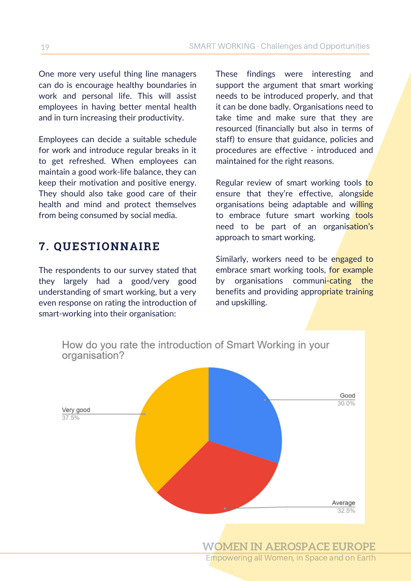One more very useful thing line managers can do is encourage healthy boundaries in work and personal life. This will assist employees in having better mental health and in turn increasing their productivity.

Employees can decide a suitable schedule for work and introduce regular breaks in it to get refreshed. When employees can maintain a good work-life balance, they can keep their motivation and positive energy. They should also take good care of their health and mind and protect themselves from being consumed by social media.

# **7. QUESTIONNAIRE**

The respondents to our survey stated that they largely had a good/very good understanding of smart working, but a very even response on rating the introduction of smart-working into their organisation:

These findings were interesting and support the argument that smart working needs to be introduced properly, and that it can be done badly. Organisations need to take time and make sure that they are resourced (financially but also in terms of staff) to ensure that guidance, policies and procedures are effective - introduced and maintained for the right reasons.

Regular review of smart working tools to ensure that they're effective, alongside organisations being adaptable and willing to embrace future smart working tools need to be part of an organisation's approach to smart working.

Similarly, workers need to be engaged to embrace smart working tools, for example by organisations communi-cating the benefits and providing appropriate training and upskilling.



Empowering all Women, in Space and on Earth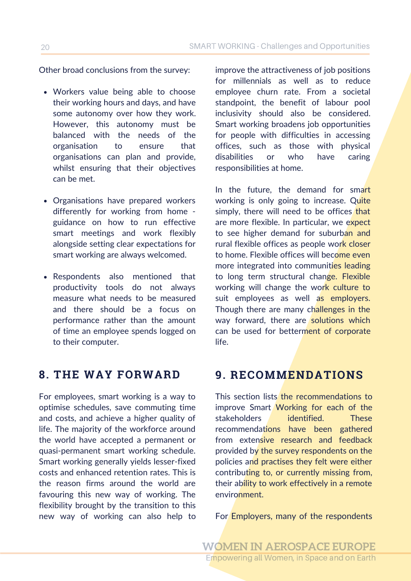Other broad conclusions from the survey: improve the attractiveness of job positions

- Workers value being able to choose their working hours and days, and have some autonomy over how they work. However, this autonomy must be balanced with the needs of the organisation to ensure that organisations can plan and provide, whilst ensuring that their objectives can be met.
- Organisations have prepared workers differently for working from home guidance on how to run effective smart meetings and work flexibly alongside setting clear expectations for smart working are always welcomed.
- Respondents also mentioned that productivity tools do not always measure what needs to be measured and there should be a focus on performance rather than the amount of time an employee spends logged on to their computer.

For employees, smart working is a way to optimise schedules, save commuting time and costs, and achieve a higher quality of life. The majority of the workforce around the world have accepted a permanent or quasi-permanent smart working schedule. Smart working generally yields lesser-fixed costs and enhanced retention rates. This is the reason firms around the world are favouring this new way of working. The flexibility brought by the transition to this new way of working can also help to for millennials as well as to reduce employee churn rate. From a societal standpoint, the benefit of labour pool inclusivity should also be considered. Smart working broadens job opportunities for people with difficulties in accessing offices, such as those with physical disabilities or who have caring responsibilities at home.

In the future, the demand for smart working is only going to increase. Quite simply, there will need to be offices that are more flexible. In particular, we expect to see higher demand for suburban and rural flexible offices as people work closer to home. Flexible offices will become even more integrated into communities leading to long term structural change. Flexible working will change the work culture to suit employees as well as employers. Though there are many challenges in the way forward, there are solutions which can be used for betterment of corporate life.

# **8. THE WAY FORWARD 9. RECOMMENDATIONS**

This section lists the recommendations to improve Smart Working for each of the stakeholders identified. These recommendations have been gathered from extensive research and feedback provided by the survey respondents on the policies and practises they felt were either contributing to, or currently missing from, their ability to work effectively in a remote environment.

For Employers, many of the respondents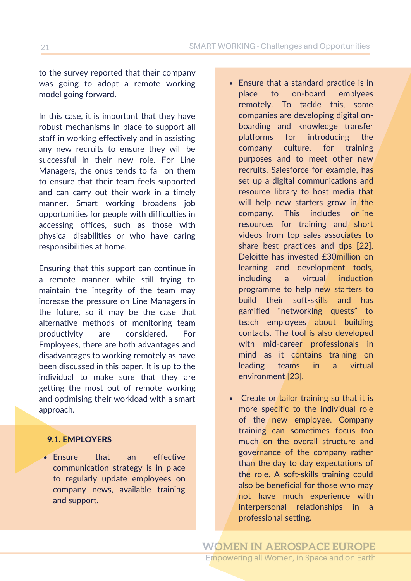<sup>21</sup> SMART WORKING - Challenges and Opportunities

to the survey reported that their company was going to adopt a remote working model going forward.

In this case, it is important that they have robust mechanisms in place to support all staff in working effectively and in assisting any new recruits to ensure they will be successful in their new role. For Line Managers, the onus tends to fall on them to ensure that their team feels supported and can carry out their work in a timely manner. Smart working broadens job opportunities for people with difficulties in accessing offices, such as those with physical disabilities or who have caring responsibilities at home.

Ensuring that this support can continue in a remote manner while still trying to maintain the integrity of the team may increase the pressure on Line Managers in the future, so it may be the case that alternative methods of monitoring team productivity are considered. For Employees, there are both advantages and disadvantages to working remotely as have been discussed in this paper. It is up to the individual to make sure that they are getting the most out of remote working and optimising their workload with a smart approach.

#### 9.1. EMPLOYERS

Ensure that an effective communication strategy is in place to regularly update employees on company news, available training and support.

- Ensure that a standard practice is in place to on-board emplyees remotely. To tackle this, some companies are developing digital onboarding and knowledge transfer platforms for introducing the company culture, for training purposes and to meet other new recruits. Salesforce for example, has set up a digital communications and resource library to host media that will help new starters grow in the company. This includes online resources for training and short videos from top sales associates to share best practices and tips [22]. Deloitte has invested £30million on learning and development tools, including a virtual induction programme to help new starters to build their soft-skills and has gamified "networking quests" to teach employees about building contacts. The tool is also developed with mid-career professionals in mind as it contains training on leading teams in a virtual environment [23].
- Create or tailor training so that it is more specific to the individual role of the new employee. Company training can sometimes focus too much on the overall structure and governance of the company rather than the day to day expectations of the role. A soft-skills training could also be beneficial for those who may not have much experience with interpersonal relationships in a professional setting.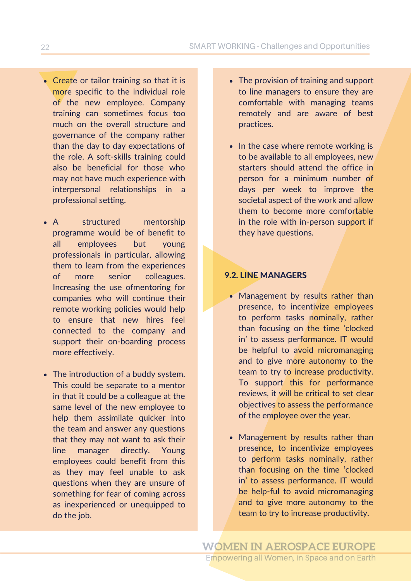- Create or tailor training so that it is more specific to the individual role of the new employee. Company training can sometimes focus too much on the overall structure and governance of the company rather than the day to day expectations of the role. A soft-skills training could also be beneficial for those who may not have much experience with interpersonal relationships in a professional setting.
- A structured mentorship programme would be of benefit to all employees but young professionals in particular, allowing them to learn from the experiences of more senior colleagues. Increasing the use ofmentoring for companies who will continue their remote working policies would help to ensure that new hires feel connected to the company and support their on-boarding process more effectively.
- The introduction of a buddy system. This could be separate to a mentor in that it could be a colleague at the same level of the new employee to help them assimilate quicker into the team and answer any questions that they may not want to ask their line manager directly. Young employees could benefit from this as they may feel unable to ask questions when they are unsure of something for fear of coming across as inexperienced or unequipped to do the job.
- The provision of training and support to line managers to ensure they are comfortable with managing teams remotely and are aware of best practices.
- In the case where remote working is to be available to all employees, new starters should attend the office in person for a minimum number of days per week to improve the societal aspect of the work and allow them to become more comfortable in the role with in-person support if they have questions.

#### 9.2. LINE MANAGERS

- Management by results rather than presence, to incentivize employees to perform tasks nominally, rather than focusing on the time 'clocked in' to assess performance. IT would be helpful to avoid micromanaging and to give more autonomy to the team to try to increase productivity. To support this for performance reviews, it will be critical to set clear objectives to assess the performance of the employee over the year.
- Management by results rather than presence, to incentivize employees to perform tasks nominally, rather than focusing on the time 'clocked in' to assess performance. IT would be help-ful to avoid micromanaging and to give more autonomy to the team to try to increase productivity.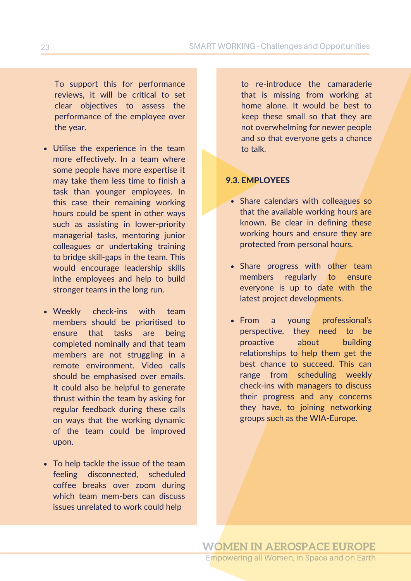To support this for performance reviews, it will be critical to set clear objectives to assess the performance of the employee over the year.

- Utilise the experience in the team more effectively. In a team where some people have more expertise it may take them less time to finish a task than younger employees. In this case their remaining working hours could be spent in other ways such as assisting in lower-priority managerial tasks, mentoring junior colleagues or undertaking training to bridge skill-gaps in the team. This would encourage leadership skills inthe employees and help to build stronger teams in the long run.
- Weekly check-ins with team members should be prioritised to ensure that tasks are being completed nominally and that team members are not struggling in a remote environment. Video calls should be emphasised over emails. It could also be helpful to generate thrust within the team by asking for regular feedback during these calls on ways that the working dynamic of the team could be improved upon.
- To help tackle the issue of the team feeling disconnected, scheduled coffee breaks over zoom during which team mem-bers can discuss issues unrelated to work could help

to re-introduce the camaraderie that is missing from working at home alone. It would be best to keep these small so that they are not overwhelming for newer people and so that everyone gets a chance to talk.

#### 9.3. EMPLOYEES

- Share calendars with colleagues so that the available working hours are known. Be clear in defining these working hours and ensure they are protected from personal hours.
- Share progress with other team members regularly to ensure everyone is up to date with the latest project developments.
- From a young professional's perspective, they need to be proactive about building relationships to help them get the best chance to succeed. This can range from scheduling weekly check-ins with managers to discuss their progress and any concerns they have, to joining networking groups such as the WIA-Europe.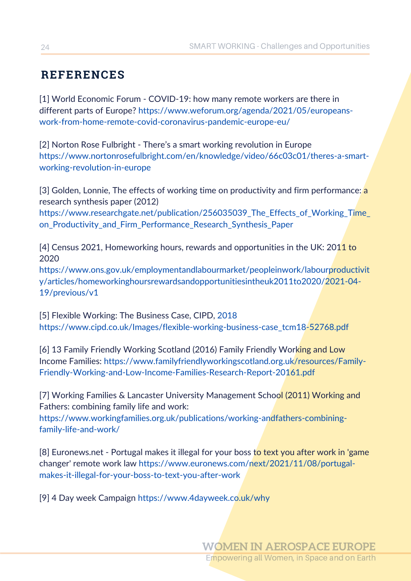# **REFERENCES**

[1] World Economic Forum - COVID-19: how many remote workers are there in different parts of Europe? https://www.weforum.org/agenda/2021/05/europeans[work-from-home-remote-covid-coronavirus-pandemic-europe-eu/](https://www.weforum.org/agenda/2021/05/europeans-work-from-home-remote-covid-coronavirus-pandemic-europe-eu/)

[2] Norton Rose Fulbright - There's a smart working revolution in Europe [https://www.nortonrosefulbright.com/en/knowledge/video/66c03c01/theres-a-smart](https://www.nortonrosefulbright.com/en/knowledge/video/66c03c01/theres-a-smart-working-revolution-in-europe)working-revolution-in-europe

[3] Golden, Lonnie, The effects of working time on productivity and firm performance: a research synthesis paper (2012)

https://www.researchgate.net/publication/256035039\_The\_Effects\_of\_Working\_Time\_ on\_Productivity\_and\_Firm\_Performance\_Research\_Synthesis\_Paper

[4] Census 2021, Homeworking hours, rewards and opportunities in the UK: 2011 to 2020

[https://www.ons.gov.uk/employmentandlabourmarket/peopleinwork/labourproductivit](https://www.ons.gov.uk/employmentandlabourmarket/peopleinwork/labourproductivity/articles/homeworkinghoursrewardsandopportunitiesintheuk2011to2020/2021-04-19/previous/v1) y/articles/homeworkinghoursrewardsandopportunitiesintheuk2011to2020/2021-04- 19/previous/v1

[5] Flexible Working: The Business Case, CIPD, 2018 [https://www.cipd.co.uk/Images/flexible-working-business-case\\_tcm18-52768.pdf](https://www.cipd.co.uk/Images/flexible-working-business-case_tcm18-52768.pdf)

[6] 13 Family Friendly Working Scotland (2016) Family Friendly Working and Low Income Families: https://www.familyfriendlyworkingscotland.org.uk/resources/Family-[Friendly-Working-and-Low-Income-Families-Research-Report-20161.pdf](https://www.familyfriendlyworkingscotland.org.uk/resources/Family-Friendly-Working-and-Low-Income-Families-Research-Report-20161.pdf)

[7] Working Families & Lancaster University Management School (2011) Working and Fathers: combining family life and work:

[https://www.workingfamilies.org.uk/publications/working-andfathers-combining](https://www.workingfamilies.org.uk/publications/working-andfathers-combining-family-life-and-work/)family-life-and-work/

[8] Euronews.net - Portugal makes it illegal for your boss to text you after work in 'game changer' remote work law [https://www.euronews.com/next/2021/11/08/portugal](https://www.euronews.com/next/2021/11/08/portugal-makes-it-illegal-for-your-boss-to-text-you-after-work)makes-it-illegal-for-your-boss-to-text-you-after-work

[9] 4 Day week Campaign <https://www.4dayweek.co.uk/why>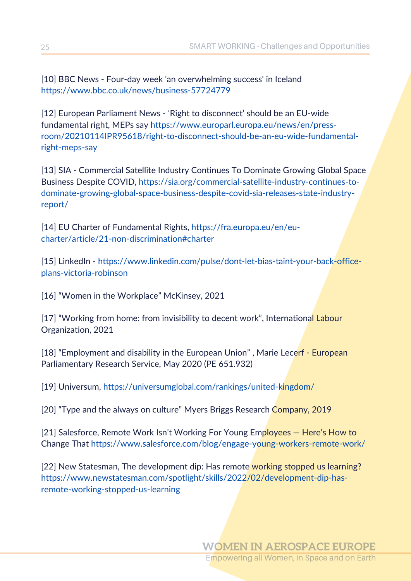[10] BBC News - Four-day week 'an overwhelming success' in Iceland <https://www.bbc.co.uk/news/business-57724779>

[12] European Parliament News - 'Right to disconnect' should be an EU-wide fundamental right, MEPs say https://www.europarl.europa.eu/news/en/press[room/20210114IPR95618/right-to-disconnect-should-be-an-eu-wide-fundamental](https://www.europarl.europa.eu/news/en/press-room/20210114IPR95618/right-to-disconnect-should-be-an-eu-wide-fundamental-right-meps-say)right-meps-say

[13] SIA - Commercial Satellite Industry Continues To Dominate Growing Global Space Business Despite COVID, https://sia.org/commercial-satellite-industry-continues-to[dominate-growing-global-space-business-despite-covid-sia-releases-state-industry](https://sia.org/commercial-satellite-industry-continues-to-dominate-growing-global-space-business-despite-covid-sia-releases-state-industry-report/)report/

[14] EU Charter of Fundamental Rights, https://fra.europa.eu/en/eu[charter/article/21-non-discrimination#charter](https://fra.europa.eu/en/eu-charter/article/21-non-discrimination#charter)

[15] LinkedIn - [https://www.linkedin.com/pulse/dont-let-bias-taint-your-back-office](https://www.linkedin.com/pulse/dont-let-bias-taint-your-back-office-plans-victoria-robinson)plans-victoria-robinson

[16] "Women in the Workplace" McKinsey, 2021

[17] "Working from home: from invisibility to decent work", International Labour Organization, 2021

[18] "Employment and disability in the European Union", Marie Lecerf - European Parliamentary Research Service, May 2020 (PE 651.932)

[19] Universum, <https://universumglobal.com/rankings/united-kingdom/>

[20] "Type and the always on culture" Myers Briggs Research Company, 2019

[21] Salesforce, Remote Work Isn't Working For Young Employees – Here's How to Change That <https://www.salesforce.com/blog/engage-young-workers-remote-work/>

[22] New Statesman, The development dip: Has remote working stopped us learning? [https://www.newstatesman.com/spotlight/skills/2022/02/development-dip-has](https://www.newstatesman.com/spotlight/skills/2022/02/development-dip-has-remote-working-stopped-us-learning)remote-working-stopped-us-learning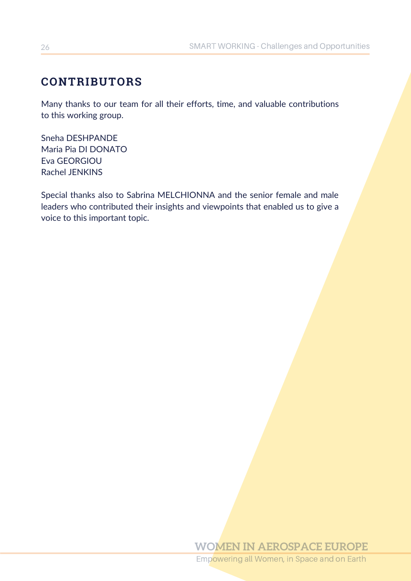# **CONTRIBUTORS**

Many thanks to our team for all their efforts, time, and valuable contributions to this working group.

Sneha DESHPANDE Maria Pia DI DONATO Eva GEORGIOU Rachel JENKINS

Special thanks also to Sabrina MELCHIONNA and the senior female and male leaders who contributed their insights and viewpoints that enabled us to give a voice to this important topic.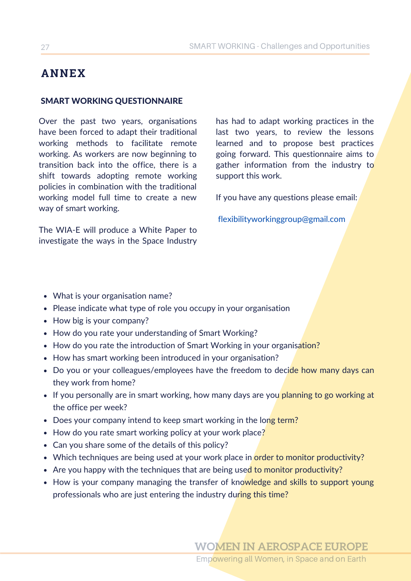# **ANNEX**

#### SMART WORKING QUESTIONNAIRE

Over the past two years, organisations have been forced to adapt their traditional working methods to facilitate remote working. As workers are now beginning to transition back into the office, there is a shift towards adopting remote working policies in combination with the traditional working model full time to create a new way of smart working.

The WIA-E will produce a White Paper to investigate the ways in the Space Industry

has had to adapt working practices in the last two years, to review the lessons learned and to propose best practices going forward. This questionnaire aims to gather information from the industry to support this work.

If you have any questions please email:

[flexibilityworkinggroup@gmail.com](mailto:flexibilityworkinggroup@gmail.com)

- What is your organisation name?
- Please indicate what type of role you occupy in your organisation
- How big is your company?
- How do you rate your understanding of Smart Working?
- How do you rate the introduction of Smart Working in your organisation?
- How has smart working been introduced in your organisation?
- Do you or your colleagues/employees have the freedom to decide how many days can they work from home?
- If you personally are in smart working, how many days are you planning to go working at the office per week?
- Does your company intend to keep smart working in the long term?
- How do you rate smart working policy at your work place?
- Can you share some of the details of this policy?
- Which techniques are being used at your work place in order to monitor productivity?
- Are you happy with the techniques that are being used to monitor productivity?
- How is your company managing the transfer of knowledge and skills to support young professionals who are just entering the industry during this time?